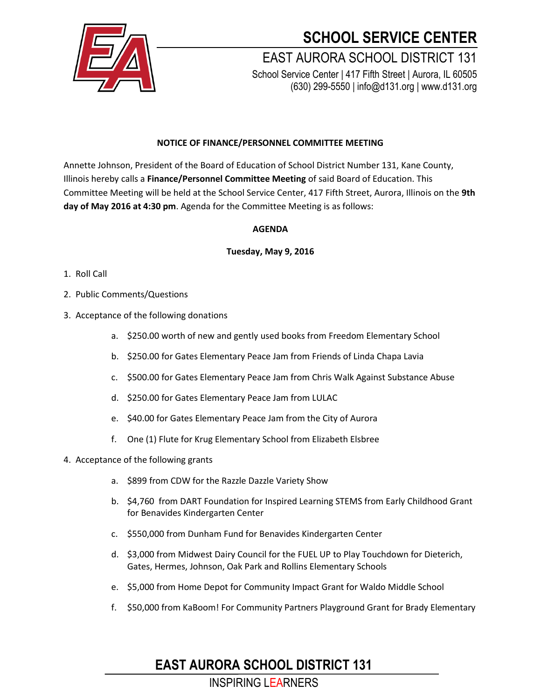

# **SCHOOL SERVICE CENTER**

EAST AURORA SCHOOL DISTRICT 131 School Service Center | 417 Fifth Street | Aurora, IL 60505 (630) 299-5550 | info@d131.org | www.d131.org

### **NOTICE OF FINANCE/PERSONNEL COMMITTEE MEETING**

Annette Johnson, President of the Board of Education of School District Number 131, Kane County, Illinois hereby calls a **Finance/Personnel Committee Meeting** of said Board of Education. This Committee Meeting will be held at the School Service Center, 417 Fifth Street, Aurora, Illinois on the **9th day of May 2016 at 4:30 pm**. Agenda for the Committee Meeting is as follows:

#### **AGENDA**

#### **Tuesday, May 9, 2016**

- 1. Roll Call
- 2. Public Comments/Questions
- 3. Acceptance of the following donations
	- a. \$250.00 worth of new and gently used books from Freedom Elementary School
	- b. \$250.00 for Gates Elementary Peace Jam from Friends of Linda Chapa Lavia
	- c. \$500.00 for Gates Elementary Peace Jam from Chris Walk Against Substance Abuse
	- d. \$250.00 for Gates Elementary Peace Jam from LULAC
	- e. \$40.00 for Gates Elementary Peace Jam from the City of Aurora
	- f. One (1) Flute for Krug Elementary School from Elizabeth Elsbree
- 4. Acceptance of the following grants
	- a. \$899 from CDW for the Razzle Dazzle Variety Show
	- b. \$4,760 from DART Foundation for Inspired Learning STEMS from Early Childhood Grant for Benavides Kindergarten Center
	- c. \$550,000 from Dunham Fund for Benavides Kindergarten Center
	- d. \$3,000 from Midwest Dairy Council for the FUEL UP to Play Touchdown for Dieterich, Gates, Hermes, Johnson, Oak Park and Rollins Elementary Schools
	- e. \$5,000 from Home Depot for Community Impact Grant for Waldo Middle School
	- f. \$50,000 from KaBoom! For Community Partners Playground Grant for Brady Elementary

### **EAST AURORA SCHOOL DISTRICT 131**

INSPIRING LEARNERS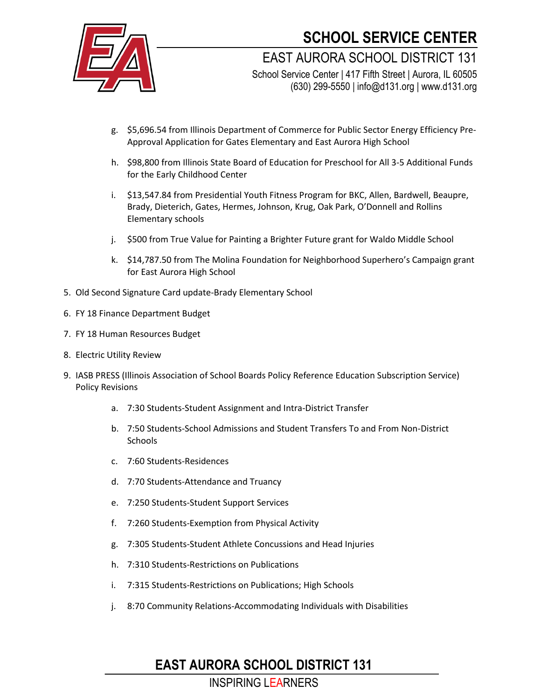

## **SCHOOL SERVICE CENTER**

EAST AURORA SCHOOL DISTRICT 131 School Service Center | 417 Fifth Street | Aurora, IL 60505

(630) 299-5550 | info@d131.org | www.d131.org

- g. \$5,696.54 from Illinois Department of Commerce for Public Sector Energy Efficiency Pre-Approval Application for Gates Elementary and East Aurora High School
- h. \$98,800 from Illinois State Board of Education for Preschool for All 3-5 Additional Funds for the Early Childhood Center
- i. \$13,547.84 from Presidential Youth Fitness Program for BKC, Allen, Bardwell, Beaupre, Brady, Dieterich, Gates, Hermes, Johnson, Krug, Oak Park, O'Donnell and Rollins Elementary schools
- j. \$500 from True Value for Painting a Brighter Future grant for Waldo Middle School
- k. \$14,787.50 from The Molina Foundation for Neighborhood Superhero's Campaign grant for East Aurora High School
- 5. Old Second Signature Card update-Brady Elementary School
- 6. FY 18 Finance Department Budget
- 7. FY 18 Human Resources Budget
- 8. Electric Utility Review
- 9. IASB PRESS (Illinois Association of School Boards Policy Reference Education Subscription Service) Policy Revisions
	- a. 7:30 Students-Student Assignment and Intra-District Transfer
	- b. 7:50 Students-School Admissions and Student Transfers To and From Non-District **Schools**
	- c. 7:60 Students-Residences
	- d. 7:70 Students-Attendance and Truancy
	- e. 7:250 Students-Student Support Services
	- f. 7:260 Students-Exemption from Physical Activity
	- g. 7:305 Students-Student Athlete Concussions and Head Injuries
	- h. 7:310 Students-Restrictions on Publications
	- i. 7:315 Students-Restrictions on Publications; High Schools
	- j. 8:70 Community Relations-Accommodating Individuals with Disabilities

## **EAST AURORA SCHOOL DISTRICT 131**

### INSPIRING LEARNERS